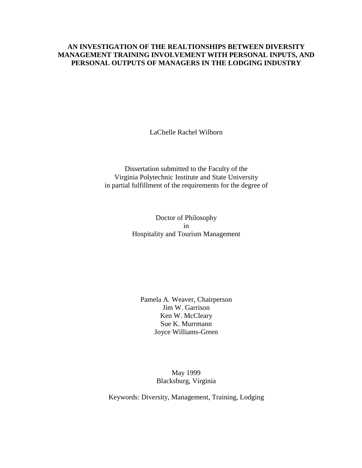## **AN INVESTIGATION OF THE REALTIONSHIPS BETWEEN DIVERSITY MANAGEMENT TRAINING INVOLVEMENT WITH PERSONAL INPUTS, AND PERSONAL OUTPUTS OF MANAGERS IN THE LODGING INDUSTRY**

LaChelle Rachel Wilborn

Dissertation submitted to the Faculty of the Virginia Polytechnic Institute and State University in partial fulfillment of the requirements for the degree of

> Doctor of Philosophy in Hospitality and Tourism Management

Pamela A. Weaver, Chairperson Jim W. Garrison Ken W. McCleary Sue K. Murrmann Joyce Williams-Green

> May 1999 Blacksburg, Virginia

Keywords: Diversity, Management, Training, Lodging